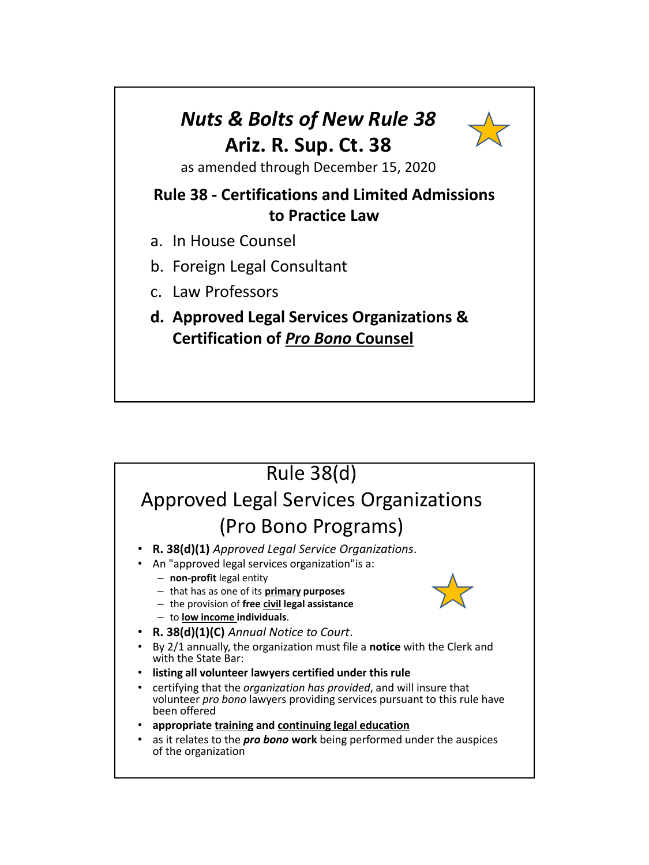### *Nuts & Bolts of New Rule 38* **Ariz. R. Sup. Ct. 38**



as amended through December 15, 2020

### **Rule 38 - Certifications and Limited Admissions to Practice Law**

- a. In House Counsel
- b. Foreign Legal Consultant
- c. Law Professors
- **d. Approved Legal Services Organizations & Certification of** *Pro Bono* **Counsel**

#### Rule 38(d) Approved Legal Services Organizations (Pro Bono Programs) • **R. 38(d)(1)** *Approved Legal Service Organizations*. • An "approved legal services organization"is a: – **non-profit** legal entity – that has as one of its **primary purposes** – the provision of **free civil legal assistance** – to **low income individuals**. • **R. 38(d)(1)(C)** *Annual Notice to Court*. • By 2/1 annually, the organization must file a **notice** with the Clerk and with the State Bar: • **listing all volunteer lawyers certified under this rule** • certifying that the *organization has provided*, and will insure that volunteer *pro bono* lawyers providing services pursuant to this rule have been offered • **appropriate training and continuing legal education** • as it relates to the *pro bono* **work** being performed under the auspices of the organization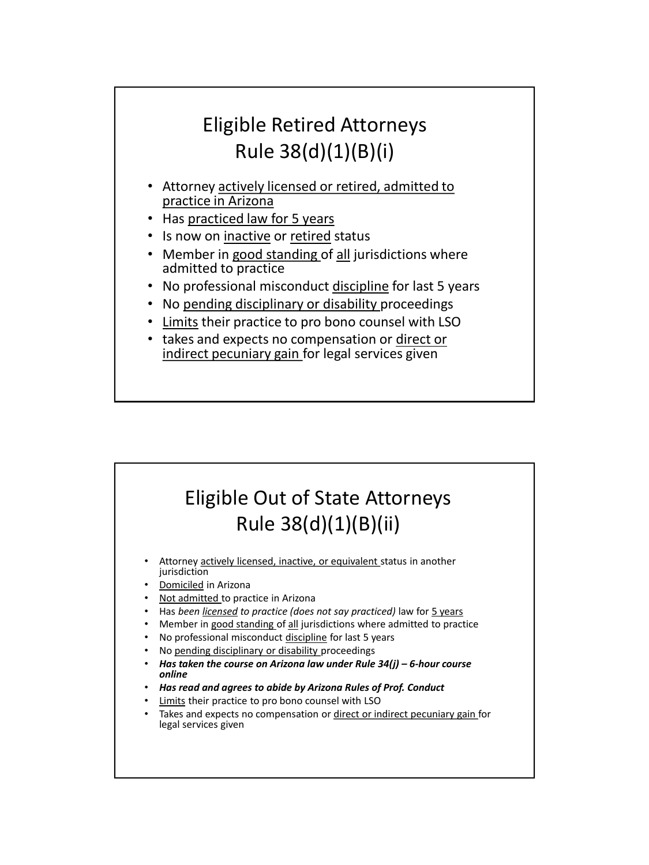# Eligible Retired Attorneys Rule 38(d)(1)(B)(i)

- Attorney actively licensed or retired, admitted to practice in Arizona
- Has practiced law for 5 years
- Is now on inactive or retired status
- Member in good standing of all jurisdictions where admitted to practice
- No professional misconduct discipline for last 5 years
- No pending disciplinary or disability proceedings
- Limits their practice to pro bono counsel with LSO
- takes and expects no compensation or direct or indirect pecuniary gain for legal services given

## Eligible Out of State Attorneys Rule 38(d)(1)(B)(ii)

- Attorney actively licensed, inactive, or equivalent status in another jurisdiction
- Domiciled in Arizona
- Not admitted to practice in Arizona
- Has *been licensed to practice (does not say practiced)* law for 5 years
- Member in good standing of all jurisdictions where admitted to practice
- No professional misconduct discipline for last 5 years
- No pending disciplinary or disability proceedings
- *Has taken the course on Arizona law under Rule 34(j) – 6-hour course online*
- *Has read and agrees to abide by Arizona Rules of Prof. Conduct*
- Limits their practice to pro bono counsel with LSO
- Takes and expects no compensation or direct or indirect pecuniary gain for legal services given